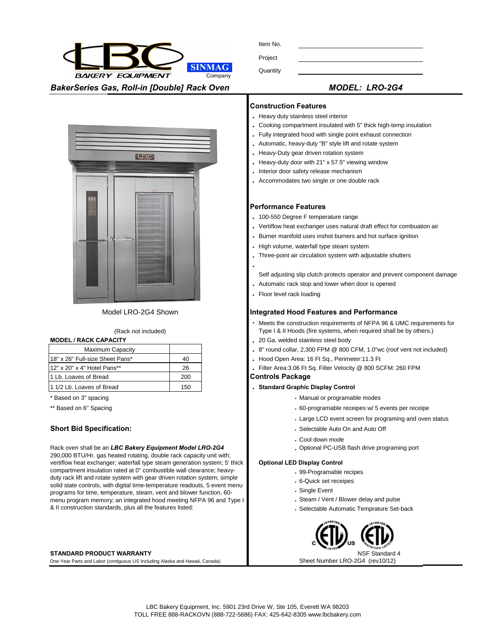Item No.

**SINMAG BAKERY EQUIPMENT** Company

| טוו ווסו |  |  |
|----------|--|--|
| Project  |  |  |

**Quantity** 

*BakerSeries Gas, Roll-in [Double] Rack Oven MODEL: LRO-2G4* 



# Model LRO-2G4 Shown

### (Rack not included)

| Maximum Capacity                |     |
|---------------------------------|-----|
| 18" x 26" Full-size Sheet Pans* | 40  |
| 12" x 20" x 4" Hotel Pans**     | 26  |
| 1 Lb. Loaves of Bread           | 200 |
| 11/2 Lb. Loaves of Bread        | 150 |

#### Rack oven shall be an *LBC Bakery Equipment Model LRO-2G4*  290,000 BTU/Hr. gas heated rotating, double rack capacity unit with; vertiflow heat exchanger; waterfall type steam generation system; 5' thick compartment insulation rated at 0" combustible wall clearance; heavyduty rack lift and rotate system with gear driven rotation system; simple solid state controls, with digital time-temperature readouts, 5 event menu programs for time, temperature, steam, vent and blower function, 60 menu program memory; an integrated hood meeting NFPA 96 and Type I & II construction standards, plus all the features listed:

### **STANDARD PRODUCT WARRANTY**

One-Year Parts and Labor (contiguous US Including Alaska and Hawaii, Canada) Sheet Number LRO-2G4 (rev10/12)

#### **Construction Features**

- **.** Heavy duty stainless steel interior
- **.** Cooking compartment insulated with 5" thick high-temp insulation
- **.** Fully integrated hood with single point exhaust connection
- **.** Automatic, heavy-duty "B" style lift and rotate system
- **.** Heavy-Duty gear driven rotation system
- **.** Heavy-duty door with 21" x 57.5" viewing window
- **.** Interior door safety release mechanism
- **.** Accommodates two single or one double rack

# **Performance Features**

- **.** 100-550 Degree F temperature range
- **.** Vertiflow heat exchanger uses natural draft effect for combuation air
- **.** Burner manifold uses inshot burners and hot surface ignition
- **.** High volume, waterfall type steam system
- **.** Three-point air circulation system with adjustable shutters
- Self adjusting slip clutch protects operator and prevent component damage
- **.** Automatic rack stop and lower when door is opened
- **.** Floor level rack loading

**.**

# **Integrated Hood Features and Performance**

- **.** Meets the construction requirements of NFPA 96 & UMC requirements for Type I & II Hoods (fire systems, when required shall be by others.)
- **MODEL / RACK CAPACITY ... 20 Ga. welded stainless steel body** 
	- **.** 8" round collar, 2,300 FPM @ 800 CFM, 1.0"wc (roof vent not included)
	- 40 **.** Hood Open Area: 16 Ft Sq., Perimeter:11.3 Ft
	- 26 **.** Filter Area:3.06 Ft Sq. Filter Velocity @ 800 SCFM: 260 FPM

# **Controls Package**

### 150 **. Standard Graphic Display Control**

- \* Based on 3" spacing **.** Manual or programable modes
- \*\* Based on 6" Spacing **... 60-programable receipes w/ 5 events per receipe .** 60-programable receipes w/ 5 events per receipe
	- **.** Large LCD event screen for programing and oven status
- **Short Bid Specification: ... Selectable Auto On and Auto Officer Auto Officer Auto Officer Auto Officer Auto Officer Auto Officer Auto Officer Auto Officer Auto Officer Auto Officer Auto Officer Auto Officer Auto Office** 
	- **.** Cool down mode
	- **.** Optional PC-USB flash drive programing port

#### **Optional LED Display Control**

- **.** 99-Programable recipes
- **.** 6-Quick set receipes
- **.** Single Event
- **.** Steam / Vent / Blower delay and pulse
- **.** Selectable Automatic Temprature Set-back